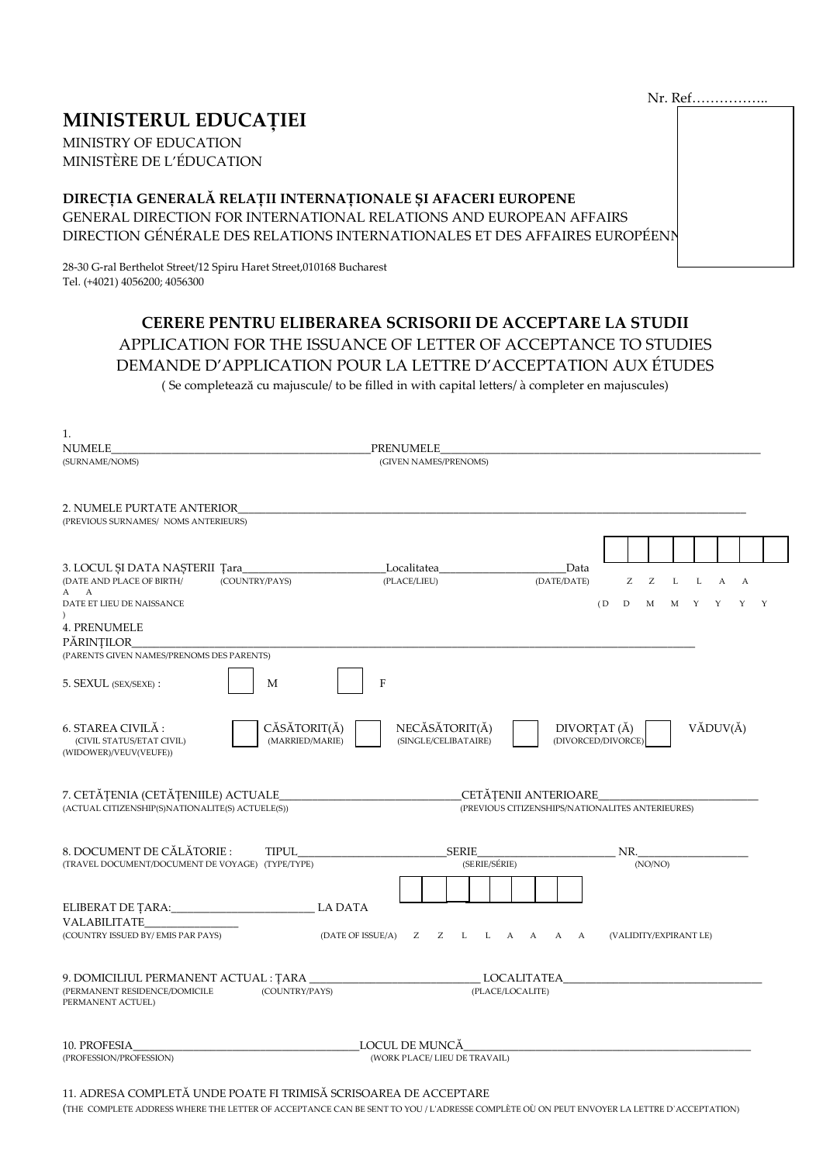# **MINISTERUL EDUCAȚIEI**

MINISTRY OF EDUCATION MINISTÈRE DE L'ÉDUCATION

# DIRECȚIA GENERALĂ RELAȚII INTERNAȚIONALE ȘI AFACERI EUROPENE

GENERAL DIRECTION FOR INTERNATIONAL RELATIONS AND EUROPEAN AFFAIRS DIRECTION GÉNÉRALE DES RELATIONS INTERNATIONALES ET DES AFFAIRES EUROPÉENN

28-30 G-ral Berthelot Street/12 Spiru Haret Street,010168 Bucharest Tel. (+4021) 4056200; 4056300

# **CERERE PENTRU ELIBERAREA SCRISORII DE ACCEPTARE LA STUDII** APPLICATION FOR THE ISSUANCE OF LETTER OF ACCEPTANCE TO STUDIES DEMANDE D'APPLICATION POUR LA LETTRE D'ACCEPTATION AUX ÉTUDES (Se completează cu majuscule/ to be filled in with capital letters/ à completer en majuscules)

| 1.                                                                                                                |                                                                                                                                                                           |
|-------------------------------------------------------------------------------------------------------------------|---------------------------------------------------------------------------------------------------------------------------------------------------------------------------|
| NUMELE                                                                                                            | PRENUMELE                                                                                                                                                                 |
| (SURNAME/NOMS)                                                                                                    | (GIVEN NAMES/PRENOMS)                                                                                                                                                     |
| 2. NUMELE PURTATE ANTERIOR<br>(PREVIOUS SURNAMES/ NOMS ANTERIEURS)                                                |                                                                                                                                                                           |
| 3. LOCUL ȘI DATA NAȘTERII Țara<br>(DATE AND PLACE OF BIRTH/<br>(COUNTRY/PAYS)<br>A A<br>DATE ET LIEU DE NAISSANCE | Localitatea<br>Data<br>(PLACE/LIEU)<br>(DATE/DATE)<br>Z<br>$\ensuremath{\mathsf{Z}}$<br>$\mathbf L$<br>L<br>$\mathbf{A}$<br>$\mathbf{A}$<br>M M Y Y<br>(D)<br>D<br>Y<br>Y |
| $\lambda$<br>4. PRENUMELE<br>PĂRINȚILOR                                                                           |                                                                                                                                                                           |
| (PARENTS GIVEN NAMES/PRENOMS DES PARENTS)                                                                         |                                                                                                                                                                           |
| 5. SEXUL (SEX/SEXE):<br>M                                                                                         | F                                                                                                                                                                         |
| 6. STAREA CIVILĂ :<br>CĂSĂTORIT(Ă)<br>(MARRIED/MARIE)<br>(CIVIL STATUS/ETAT CIVIL)<br>(WIDOWER)/VEUV(VEUFE))      | NECĂSĂTORIT(Ă)<br>VĂDUV(Ă)<br>DIVORȚAT (Ă)<br>(DIVORCED/DIVORCE)<br>(SINGLE/CELIBATAIRE)                                                                                  |
| 7. CETĂȚENIA (CETĂȚENIILE) ACTUALE<br>(ACTUAL CITIZENSHIP(S)NATIONALITE(S) ACTUELE(S))                            | CETĂȚENII ANTERIOARE<br>(PREVIOUS CITIZENSHIPS/NATIONALITES ANTERIEURES)                                                                                                  |
| 8. DOCUMENT DE CĂLĂTORIE :<br>TIPUL<br>(TRAVEL DOCUMENT/DOCUMENT DE VOYAGE) (TYPE/TYPE)                           | SERIE<br>NR.<br>(SERIE/SÉRIE)<br>(NO/NO)                                                                                                                                  |
|                                                                                                                   |                                                                                                                                                                           |
| <b>LA DATA</b>                                                                                                    |                                                                                                                                                                           |
| VALABILITATE<br>(COUNTRY ISSUED BY/ EMIS PAR PAYS)                                                                | (DATE OF ISSUE/A) Z Z L L A A A A<br>(VALIDITY/EXPIRANT LE)                                                                                                               |
| 9. DOMICILIUL PERMANENT ACTUAL : ȚARA _<br>(COUNTRY/PAYS)<br>(PERMANENT RESIDENCE/DOMICILE<br>PERMANENT ACTUEL)   | <b>LOCALITATEA</b><br>(PLACE/LOCALITE)                                                                                                                                    |
| 10. PROFESIA<br>(PROFESSION/PROFESSION)                                                                           | LOCUL DE MUNCĂ<br>(WORK PLACE/ LIEU DE TRAVAIL)                                                                                                                           |

#### 11. ADRESA COMPLETĂ UNDE POATE FI TRIMISĂ SCRISOAREA DE ACCEPTARE

(THE COMPLETE ADDRESS WHERE THE LETTER OF ACCEPTANCE CAN BE SENT TO YOU / L'ADRESSE COMPLÈTE OÙ ON PEUT ENVOYER LA LETTRE D'ACCEPTATION)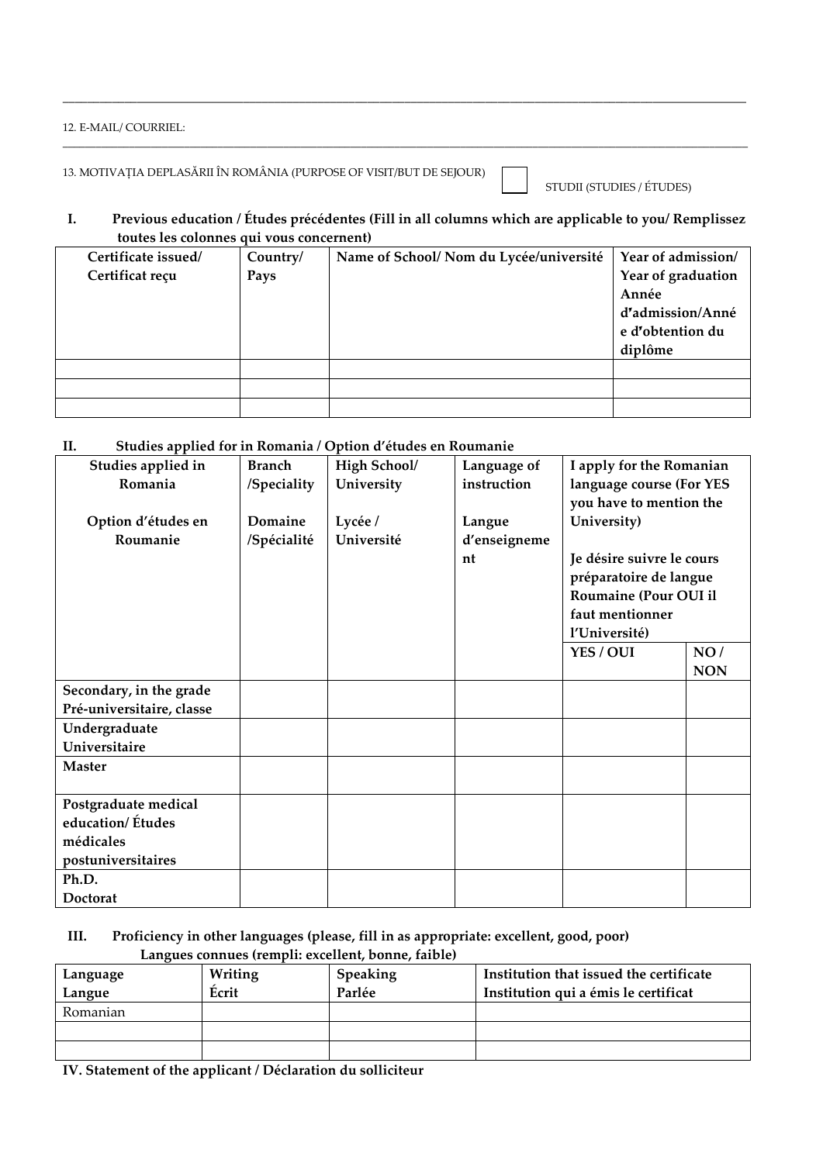#### 12. E-MAIL/ COURRIEL:

13. MOTIVAȚIA DEPLASĂRII ÎN ROMÂNIA (PURPOSE OF VISIT/BUT DE SEJOUR)

STUDII (STUDIES / ÉTUDES)

### **I. Previous education / Études précédentes (Fill in all columns which are applicable to you/ Remplissez toutes les colonnes qui vous concernent)**

\_\_\_\_\_\_\_\_\_\_\_\_\_\_\_\_\_\_\_\_\_\_\_\_\_\_\_\_\_\_\_\_\_\_\_\_\_\_\_\_\_\_\_\_\_\_\_\_\_\_\_\_\_\_\_\_\_\_\_\_\_\_\_\_\_\_\_\_\_\_\_\_\_\_\_\_\_\_\_\_\_\_\_\_\_\_\_\_\_\_\_\_\_\_\_\_\_\_\_\_\_\_\_\_\_\_\_\_\_\_

\_\_\_\_\_\_\_\_\_\_\_\_\_\_\_\_\_\_\_\_\_\_\_\_\_\_\_\_\_\_\_\_\_\_\_\_\_\_\_\_\_\_\_\_\_\_\_\_\_\_\_\_\_\_\_\_\_\_\_\_\_\_\_\_\_\_\_\_\_\_\_\_\_\_\_\_\_\_\_\_\_\_\_\_\_\_\_\_\_\_\_\_\_\_\_\_\_\_\_\_\_\_\_\_\_\_\_\_\_\_\_\_\_\_\_\_\_\_\_\_\_\_\_\_

| Certificate issued/ | Country/ | Name of School/ Nom du Lycée/université | Year of admission/ |
|---------------------|----------|-----------------------------------------|--------------------|
| Certificat reçu     | Pays     |                                         | Year of graduation |
|                     |          |                                         | Année              |
|                     |          |                                         | d'admission/Anné   |
|                     |          |                                         | e d'obtention du   |
|                     |          |                                         | diplôme            |
|                     |          |                                         |                    |
|                     |          |                                         |                    |
|                     |          |                                         |                    |

## **II. Studies applied for in Romania / Option d'études en Roumanie**

| Studies applied in        | <b>Branch</b> | High School/ | Language of  | I apply for the Romanian     |            |
|---------------------------|---------------|--------------|--------------|------------------------------|------------|
| Romania                   | /Speciality   | University   | instruction  | language course (For YES     |            |
|                           |               |              |              | you have to mention the      |            |
| Option d'études en        | Domaine       | Lycée /      | Langue       | University)                  |            |
| Roumanie                  | /Spécialité   | Université   | d'enseigneme |                              |            |
|                           |               |              | nt           | Je désire suivre le cours    |            |
|                           |               |              |              | préparatoire de langue       |            |
|                           |               |              |              | <b>Roumaine (Pour OUI il</b> |            |
|                           |               |              |              | faut mentionner              |            |
|                           |               |              |              | l'Université)                |            |
|                           |               |              |              | YES / OUI                    | NO/        |
|                           |               |              |              |                              | <b>NON</b> |
| Secondary, in the grade   |               |              |              |                              |            |
| Pré-universitaire, classe |               |              |              |                              |            |
| Undergraduate             |               |              |              |                              |            |
| Universitaire             |               |              |              |                              |            |
| <b>Master</b>             |               |              |              |                              |            |
|                           |               |              |              |                              |            |
| Postgraduate medical      |               |              |              |                              |            |
| education/ Études         |               |              |              |                              |            |
| médicales                 |               |              |              |                              |            |
| postuniversitaires        |               |              |              |                              |            |
| Ph.D.                     |               |              |              |                              |            |
| <b>Doctorat</b>           |               |              |              |                              |            |

## **III. Proficiency in other languages (please, fill in as appropriate: excellent, good, poor) Langues connues (rempli: excellent, bonne, faible)**

| Language | Writing | Speaking | Institution that issued the certificate |
|----------|---------|----------|-----------------------------------------|
| Langue   | Écrit   | Parlée   | Institution qui a émis le certificat    |
| Romanian |         |          |                                         |
|          |         |          |                                         |
|          |         |          |                                         |

**IV. Statement of the applicant / Déclaration du solliciteur**